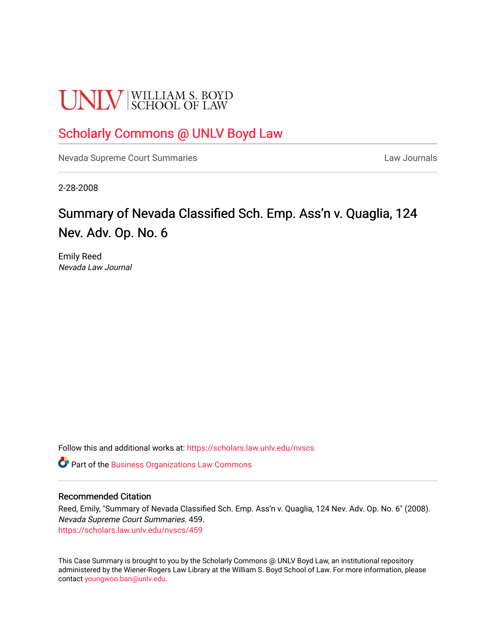# **UNLV** SCHOOL OF LAW

## [Scholarly Commons @ UNLV Boyd Law](https://scholars.law.unlv.edu/)

[Nevada Supreme Court Summaries](https://scholars.law.unlv.edu/nvscs) **Law Journals** Law Journals

2-28-2008

## Summary of Nevada Classified Sch. Emp. Ass'n v. Quaglia, 124 Nev. Adv. Op. No. 6

Emily Reed Nevada Law Journal

Follow this and additional works at: [https://scholars.law.unlv.edu/nvscs](https://scholars.law.unlv.edu/nvscs?utm_source=scholars.law.unlv.edu%2Fnvscs%2F459&utm_medium=PDF&utm_campaign=PDFCoverPages)

Part of the [Business Organizations Law Commons](http://network.bepress.com/hgg/discipline/900?utm_source=scholars.law.unlv.edu%2Fnvscs%2F459&utm_medium=PDF&utm_campaign=PDFCoverPages)

#### Recommended Citation

Reed, Emily, "Summary of Nevada Classified Sch. Emp. Ass'n v. Quaglia, 124 Nev. Adv. Op. No. 6" (2008). Nevada Supreme Court Summaries. 459. [https://scholars.law.unlv.edu/nvscs/459](https://scholars.law.unlv.edu/nvscs/459?utm_source=scholars.law.unlv.edu%2Fnvscs%2F459&utm_medium=PDF&utm_campaign=PDFCoverPages)

This Case Summary is brought to you by the Scholarly Commons @ UNLV Boyd Law, an institutional repository administered by the Wiener-Rogers Law Library at the William S. Boyd School of Law. For more information, please contact [youngwoo.ban@unlv.edu](mailto:youngwoo.ban@unlv.edu).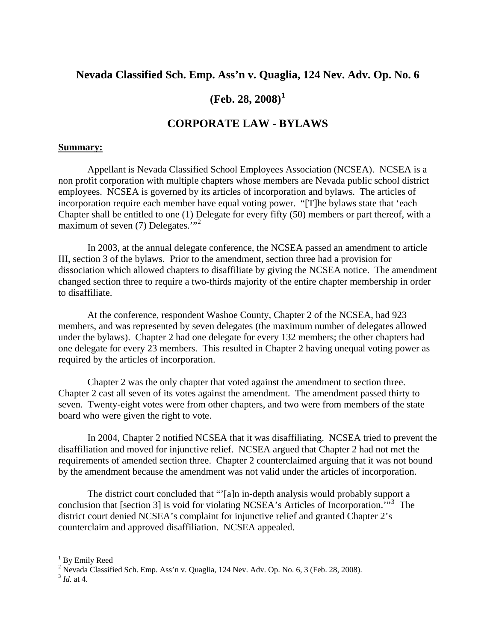#### **Nevada Classified Sch. Emp. Ass'n v. Quaglia, 124 Nev. Adv. Op. No. 6**

### **(Feb. 28, 2008)[1](#page-1-0)**

#### **CORPORATE LAW - BYLAWS**

#### **Summary:**

Appellant is Nevada Classified School Employees Association (NCSEA). NCSEA is a non profit corporation with multiple chapters whose members are Nevada public school district employees. NCSEA is governed by its articles of incorporation and bylaws. The articles of incorporation require each member have equal voting power. "[T]he bylaws state that 'each Chapter shall be entitled to one (1) Delegate for every fifty (50) members or part thereof, with a maximum of seven (7) Delegates."<sup>[2](#page-1-1)</sup>

In 2003, at the annual delegate conference, the NCSEA passed an amendment to article III, section 3 of the bylaws. Prior to the amendment, section three had a provision for dissociation which allowed chapters to disaffiliate by giving the NCSEA notice. The amendment changed section three to require a two-thirds majority of the entire chapter membership in order to disaffiliate.

At the conference, respondent Washoe County, Chapter 2 of the NCSEA, had 923 members, and was represented by seven delegates (the maximum number of delegates allowed under the bylaws). Chapter 2 had one delegate for every 132 members; the other chapters had one delegate for every 23 members. This resulted in Chapter 2 having unequal voting power as required by the articles of incorporation.

Chapter 2 was the only chapter that voted against the amendment to section three. Chapter 2 cast all seven of its votes against the amendment. The amendment passed thirty to seven. Twenty-eight votes were from other chapters, and two were from members of the state board who were given the right to vote.

In 2004, Chapter 2 notified NCSEA that it was disaffiliating. NCSEA tried to prevent the disaffiliation and moved for injunctive relief. NCSEA argued that Chapter 2 had not met the requirements of amended section three. Chapter 2 counterclaimed arguing that it was not bound by the amendment because the amendment was not valid under the articles of incorporation.

The district court concluded that "'[a]n in-depth analysis would probably support a conclusion that [section [3](#page-1-2)] is void for violating NCSEA's Articles of Incorporation.<sup>7,53</sup> The district court denied NCSEA's complaint for injunctive relief and granted Chapter 2's counterclaim and approved disaffiliation. NCSEA appealed.

 $\overline{a}$ 

<span id="page-1-0"></span><sup>&</sup>lt;sup>1</sup> By Emily Reed

<sup>&</sup>lt;sup>2</sup> Nevada Classified Sch. Emp. Ass'n v. Quaglia, 124 Nev. Adv. Op. No. 6, 3 (Feb. 28, 2008).

<span id="page-1-2"></span><span id="page-1-1"></span><sup>3</sup> *Id.* at 4.